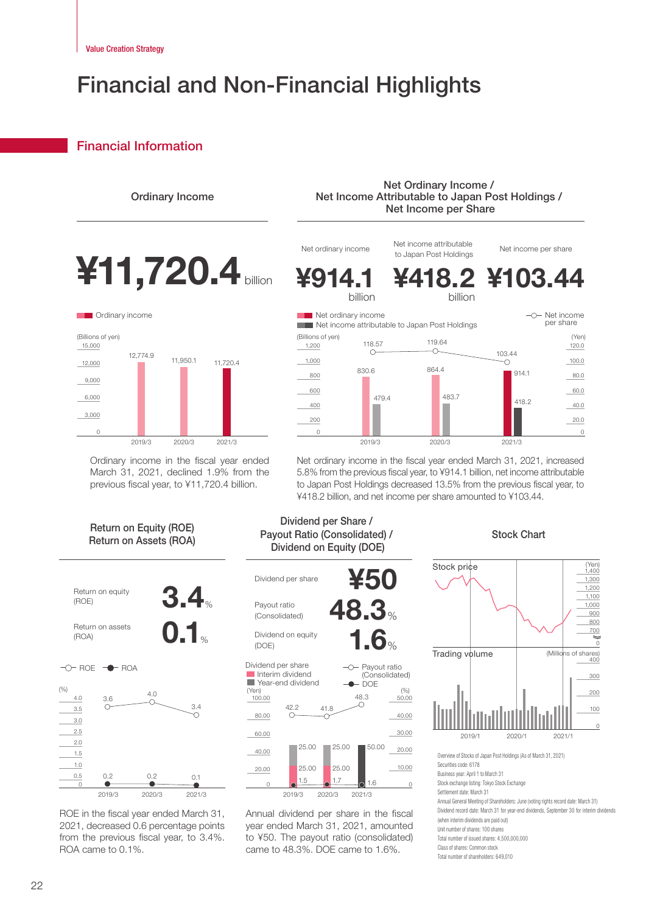## Financial and Non-Financial Highlights

## **Financial Information**



Ordinary income in the fiscal year ended March 31, 2021, declined 1.9% from the previous fiscal year, to ¥11,720.4 billion.

Net ordinary income in the fiscal year ended March 31, 2021, increased 5.8% from the previous fiscal year, to ¥914.1 billion, net income attributable to Japan Post Holdings decreased 13.5% from the previous fiscal year, to ¥418.2 billion, and net income per share amounted to ¥103.44.





ROE in the fiscal year ended March 31, 2021, decreased 0.6 percentage points from the previous fiscal year, to 3.4%. ROA came to 0.1%.





Annual dividend per share in the fiscal year ended March 31, 2021, amounted to ¥50. The payout ratio (consolidated) came to 48.3%. DOE came to 1.6%.

## Stock Chart



Securities code: 6178 Business year: April 1 to March 31

Stock exchange listing: Tokyo Stock Exchange

- Settlement date: March 31
- Annual General Meeting of Shareholders: June (voting rights record date: March 31)

Dividend record date: March 31 for year-end dividends, September 30 for interim dividends

(when interim dividends are naid out) Unit number of shares: 100 shares

Total number of issued shares: 4,500,000,000

Total number of shareholders: 649,010

Class of shares: Common stock